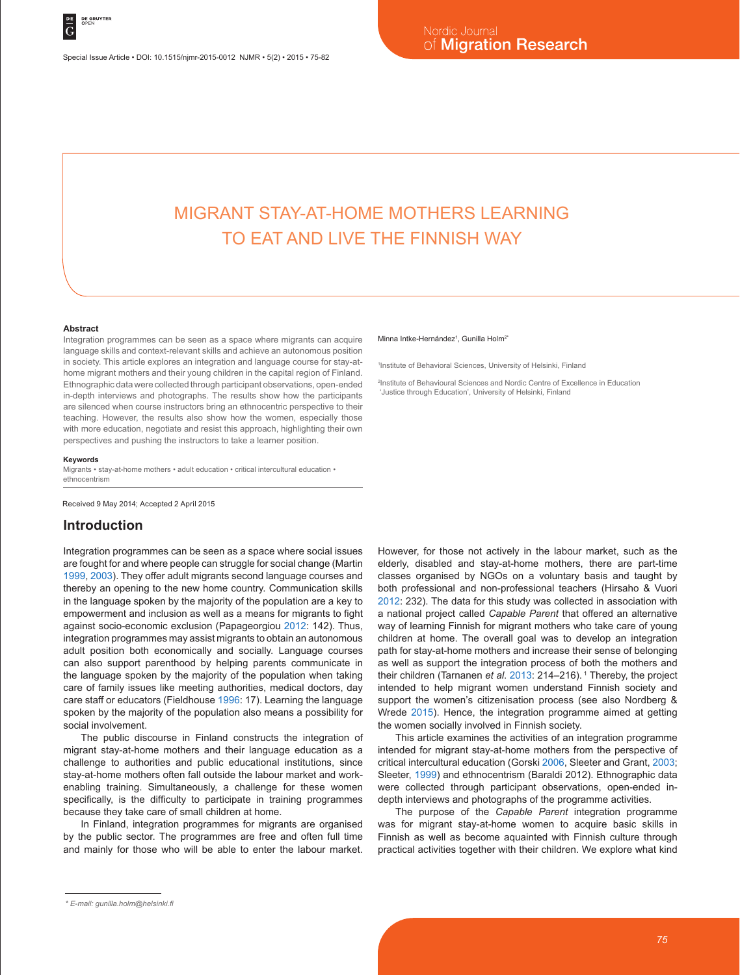1 Institute of Behavioral Sciences, University of Helsinki, Finland

'Justice through Education', University of Helsinki, Finland

Minna Intke-Hernández<sup>1</sup>, Gunilla Holm<sup>2</sup>

2 Institute of Behavioural Sciences and Nordic Centre of Excellence in Education

# MIGRANT STAY-AT-HOME MOTHERS LEARNING TO EAT AND LIVE THE FINNISH WAY

#### **Abstract**

Integration programmes can be seen as a space where migrants can acquire language skills and context-relevant skills and achieve an autonomous position in society. This article explores an integration and language course for stay-athome migrant mothers and their young children in the capital region of Finland. Ethnographic data were collected through participant observations, open-ended in-depth interviews and photographs. The results show how the participants are silenced when course instructors bring an ethnocentric perspective to their teaching. However, the results also show how the women, especially those with more education, negotiate and resist this approach, highlighting their own perspectives and pushing the instructors to take a learner position.

#### **Keywords**

Migrants • stay-at-home mothers • adult education • critical intercultural education • ethnocentrism

Received 9 May 2014; Accepted 2 April 2015

### **Introduction**

Integration programmes can be seen as a space where social issues are fought for and where people can struggle for social change (Martin 1999, 2003). They offer adult migrants second language courses and thereby an opening to the new home country. Communication skills in the language spoken by the majority of the population are a key to empowerment and inclusion as well as a means for migrants to fight against socio-economic exclusion (Papageorgiou 2012: 142). Thus, integration programmes may assist migrants to obtain an autonomous adult position both economically and socially. Language courses can also support parenthood by helping parents communicate in the language spoken by the majority of the population when taking care of family issues like meeting authorities, medical doctors, day care staff or educators (Fieldhouse 1996: 17). Learning the language spoken by the majority of the population also means a possibility for social involvement.

The public discourse in Finland constructs the integration of migrant stay-at-home mothers and their language education as a challenge to authorities and public educational institutions, since stay-at-home mothers often fall outside the labour market and workenabling training. Simultaneously, a challenge for these women specifically, is the difficulty to participate in training programmes because they take care of small children at home.

In Finland, integration programmes for migrants are organised by the public sector. The programmes are free and often full time and mainly for those who will be able to enter the labour market.

However, for those not actively in the labour market, such as the elderly, disabled and stay-at-home mothers, there are part-time classes organised by NGOs on a voluntary basis and taught by both professional and non-professional teachers (Hirsaho & Vuori 2012: 232). The data for this study was collected in association with a national project called *Capable Parent* that offered an alternative way of learning Finnish for migrant mothers who take care of young children at home. The overall goal was to develop an integration path for stay-at-home mothers and increase their sense of belonging as well as support the integration process of both the mothers and their children (Tarnanen et al. 2013: 214-216).<sup>1</sup> Thereby, the project intended to help migrant women understand Finnish society and support the women's citizenisation process (see also Nordberg & Wrede 2015). Hence, the integration programme aimed at getting the women socially involved in Finnish society.

This article examines the activities of an integration programme intended for migrant stay-at-home mothers from the perspective of critical intercultural education (Gorski 2006, Sleeter and Grant, 2003; Sleeter, 1999) and ethnocentrism (Baraldi 2012). Ethnographic data were collected through participant observations, open-ended indepth interviews and photographs of the programme activities.

The purpose of the *Capable Parent* integration programme was for migrant stay-at-home women to acquire basic skills in Finnish as well as become aquainted with Finnish culture through practical activities together with their children. We explore what kind

*<sup>\*</sup> E-mail: gunilla.holm@helsinki.fi*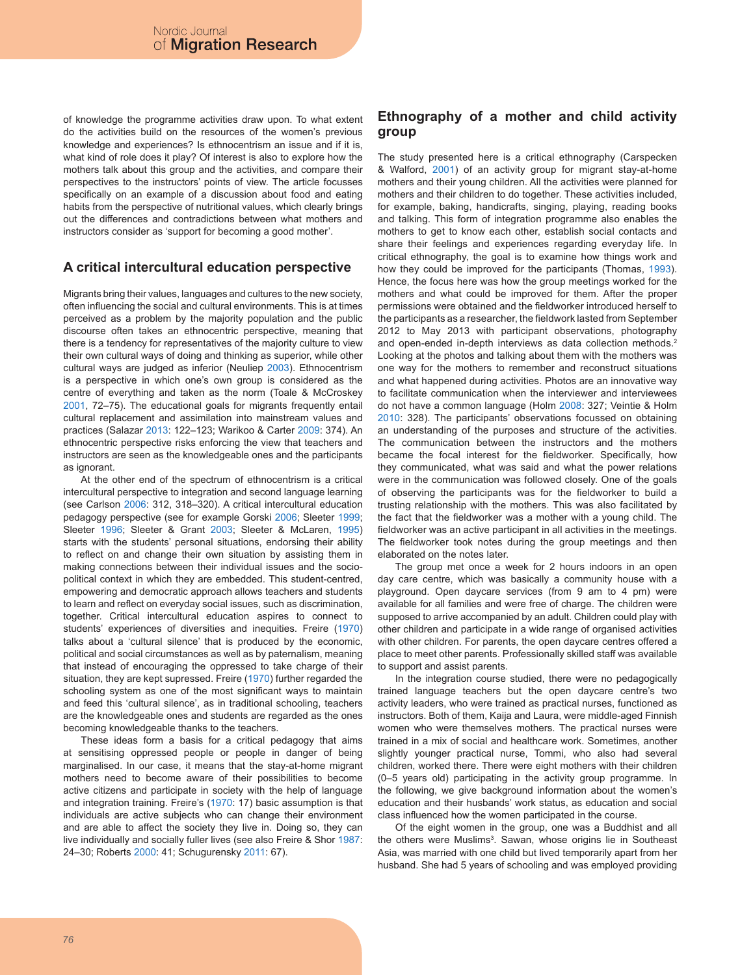of knowledge the programme activities draw upon. To what extent do the activities build on the resources of the women's previous knowledge and experiences? Is ethnocentrism an issue and if it is, what kind of role does it play? Of interest is also to explore how the mothers talk about this group and the activities, and compare their perspectives to the instructors' points of view. The article focusses specifically on an example of a discussion about food and eating habits from the perspective of nutritional values, which clearly brings out the differences and contradictions between what mothers and instructors consider as 'support for becoming a good mother'.

# **A critical intercultural education perspective**

Migrants bring their values, languages and cultures to the new society, often influencing the social and cultural environments. This is at times perceived as a problem by the majority population and the public discourse often takes an ethnocentric perspective, meaning that there is a tendency for representatives of the majority culture to view their own cultural ways of doing and thinking as superior, while other cultural ways are judged as inferior (Neuliep 2003). Ethnocentrism is a perspective in which one's own group is considered as the centre of everything and taken as the norm (Toale & McCroskey 2001, 72–75). The educational goals for migrants frequently entail cultural replacement and assimilation into mainstream values and practices (Salazar 2013: 122–123; Warikoo & Carter 2009: 374). An ethnocentric perspective risks enforcing the view that teachers and instructors are seen as the knowledgeable ones and the participants as ignorant.

At the other end of the spectrum of ethnocentrism is a critical intercultural perspective to integration and second language learning (see Carlson 2006: 312, 318–320). A critical intercultural education pedagogy perspective (see for example Gorski 2006; Sleeter 1999; Sleeter 1996; Sleeter & Grant 2003; Sleeter & McLaren, 1995) starts with the students' personal situations, endorsing their ability to reflect on and change their own situation by assisting them in making connections between their individual issues and the sociopolitical context in which they are embedded. This student-centred, empowering and democratic approach allows teachers and students to learn and reflect on everyday social issues, such as discrimination, together. Critical intercultural education aspires to connect to students' experiences of diversities and inequities. Freire (1970) talks about a 'cultural silence' that is produced by the economic, political and social circumstances as well as by paternalism, meaning that instead of encouraging the oppressed to take charge of their situation, they are kept supressed. Freire (1970) further regarded the schooling system as one of the most significant ways to maintain and feed this 'cultural silence', as in traditional schooling, teachers are the knowledgeable ones and students are regarded as the ones becoming knowledgeable thanks to the teachers.

These ideas form a basis for a critical pedagogy that aims at sensitising oppressed people or people in danger of being marginalised. In our case, it means that the stay-at-home migrant mothers need to become aware of their possibilities to become active citizens and participate in society with the help of language and integration training. Freire's (1970: 17) basic assumption is that individuals are active subjects who can change their environment and are able to affect the society they live in. Doing so, they can live individually and socially fuller lives (see also Freire & Shor 1987: 24–30; Roberts 2000: 41; Schugurensky 2011: 67).

# **Ethnography of a mother and child activity group**

The study presented here is a critical ethnography (Carspecken & Walford, 2001) of an activity group for migrant stay-at-home mothers and their young children. All the activities were planned for mothers and their children to do together. These activities included, for example, baking, handicrafts, singing, playing, reading books and talking. This form of integration programme also enables the mothers to get to know each other, establish social contacts and share their feelings and experiences regarding everyday life. In critical ethnography, the goal is to examine how things work and how they could be improved for the participants (Thomas, 1993). Hence, the focus here was how the group meetings worked for the mothers and what could be improved for them. After the proper permissions were obtained and the fieldworker introduced herself to the participants as a researcher, the fieldwork lasted from September 2012 to May 2013 with participant observations, photography and open-ended in-depth interviews as data collection methods.<sup>2</sup> Looking at the photos and talking about them with the mothers was one way for the mothers to remember and reconstruct situations and what happened during activities. Photos are an innovative way to facilitate communication when the interviewer and interviewees do not have a common language (Holm 2008: 327; Veintie & Holm 2010: 328). The participants' observations focussed on obtaining an understanding of the purposes and structure of the activities. The communication between the instructors and the mothers became the focal interest for the fieldworker. Specifically, how they communicated, what was said and what the power relations were in the communication was followed closely. One of the goals of observing the participants was for the fieldworker to build a trusting relationship with the mothers. This was also facilitated by the fact that the fieldworker was a mother with a young child. The fieldworker was an active participant in all activities in the meetings. The fieldworker took notes during the group meetings and then elaborated on the notes later.

The group met once a week for 2 hours indoors in an open day care centre, which was basically a community house with a playground. Open daycare services (from 9 am to 4 pm) were available for all families and were free of charge. The children were supposed to arrive accompanied by an adult. Children could play with other children and participate in a wide range of organised activities with other children. For parents, the open daycare centres offered a place to meet other parents. Professionally skilled staff was available to support and assist parents.

In the integration course studied, there were no pedagogically trained language teachers but the open daycare centre's two activity leaders, who were trained as practical nurses, functioned as instructors. Both of them, Kaija and Laura, were middle-aged Finnish women who were themselves mothers. The practical nurses were trained in a mix of social and healthcare work. Sometimes, another slightly younger practical nurse, Tommi, who also had several children, worked there. There were eight mothers with their children (0–5 years old) participating in the activity group programme. In the following, we give background information about the women's education and their husbands' work status, as education and social class influenced how the women participated in the course.

Of the eight women in the group, one was a Buddhist and all the others were Muslims<sup>3</sup>. Sawan, whose origins lie in Southeast Asia, was married with one child but lived temporarily apart from her husband. She had 5 years of schooling and was employed providing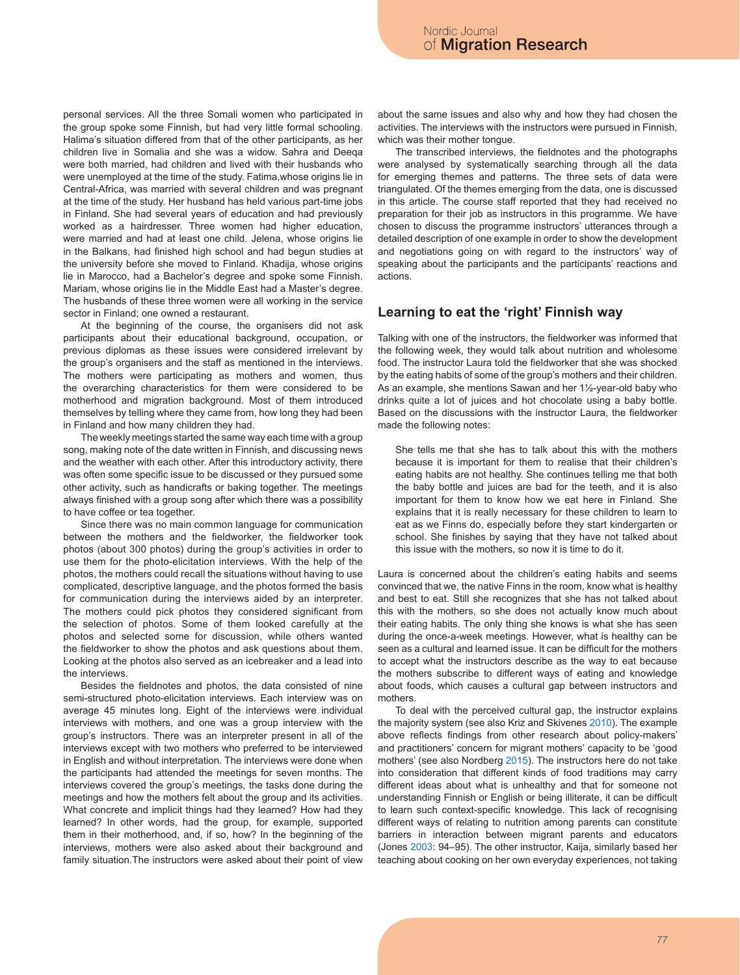personal services. All the three Somali women who participated in the group spoke some Finnish, but had very little formal schooling. Halima's situation differed from that of the other participants, as her children live in Somalia and she was a widow. Sahra and Deeqa were both married, had children and lived with their husbands who were unemployed at the time of the study. Fatima,whose origins lie in Central-Africa, was married with several children and was pregnant at the time of the study. Her husband has held various part-time jobs in Finland. She had several years of education and had previously worked as a hairdresser. Three women had higher education, were married and had at least one child. Jelena, whose origins lie in the Balkans, had finished high school and had begun studies at the university before she moved to Finland. Khadija, whose origins lie in Marocco, had a Bachelor's degree and spoke some Finnish. Mariam, whose origins lie in the Middle East had a Master's degree. The husbands of these three women were all working in the service sector in Finland; one owned a restaurant.

At the beginning of the course, the organisers did not ask participants about their educational background, occupation, or previous diplomas as these issues were considered irrelevant by the group's organisers and the staff as mentioned in the interviews. The mothers were participating as mothers and women, thus the overarching characteristics for them were considered to be motherhood and migration background. Most of them introduced themselves by telling where they came from, how long they had been in Finland and how many children they had.

The weekly meetings started the same way each time with a group song, making note of the date written in Finnish, and discussing news and the weather with each other. After this introductory activity, there was often some specific issue to be discussed or they pursued some other activity, such as handicrafts or baking together. The meetings always finished with a group song after which there was a possibility to have coffee or tea together.

Since there was no main common language for communication between the mothers and the fieldworker, the fieldworker took photos (about 300 photos) during the group's activities in order to use them for the photo-elicitation interviews. With the help of the photos, the mothers could recall the situations without having to use complicated, descriptive language, and the photos formed the basis for communication during the interviews aided by an interpreter. The mothers could pick photos they considered significant from the selection of photos. Some of them looked carefully at the photos and selected some for discussion, while others wanted the fieldworker to show the photos and ask questions about them. Looking at the photos also served as an icebreaker and a lead into the interviews.

Besides the fieldnotes and photos, the data consisted of nine semi-structured photo-elicitation interviews. Each interview was on average 45 minutes long. Eight of the interviews were individual interviews with mothers, and one was a group interview with the group's instructors. There was an interpreter present in all of the interviews except with two mothers who preferred to be interviewed in English and without interpretation. The interviews were done when the participants had attended the meetings for seven months. The interviews covered the group's meetings, the tasks done during the meetings and how the mothers felt about the group and its activities. What concrete and implicit things had they learned? How had they learned? In other words, had the group, for example, supported them in their motherhood, and, if so, how? In the beginning of the interviews, mothers were also asked about their background and family situation.The instructors were asked about their point of view

about the same issues and also why and how they had chosen the activities. The interviews with the instructors were pursued in Finnish, which was their mother tongue.

The transcribed interviews, the fieldnotes and the photographs were analysed by systematically searching through all the data for emerging themes and patterns. The three sets of data were triangulated. Of the themes emerging from the data, one is discussed in this article. The course staff reported that they had received no preparation for their job as instructors in this programme. We have chosen to discuss the programme instructors' utterances through a detailed description of one example in order to show the development and negotiations going on with regard to the instructors' way of speaking about the participants and the participants' reactions and actions.

### **Learning to eat the 'right' Finnish way**

Talking with one of the instructors, the fieldworker was informed that the following week, they would talk about nutrition and wholesome food. The instructor Laura told the fieldworker that she was shocked by the eating habits of some of the group's mothers and their children. As an example, she mentions Sawan and her 1½-year-old baby who drinks quite a lot of juices and hot chocolate using a baby bottle. Based on the discussions with the instructor Laura, the fieldworker made the following notes:

She tells me that she has to talk about this with the mothers because it is important for them to realise that their children's eating habits are not healthy. She continues telling me that both the baby bottle and juices are bad for the teeth, and it is also important for them to know how we eat here in Finland. She explains that it is really necessary for these children to learn to eat as we Finns do, especially before they start kindergarten or school. She finishes by saying that they have not talked about this issue with the mothers, so now it is time to do it.

Laura is concerned about the children's eating habits and seems convinced that we, the native Finns in the room, know what is healthy and best to eat. Still she recognizes that she has not talked about this with the mothers, so she does not actually know much about their eating habits. The only thing she knows is what she has seen during the once-a-week meetings. However, what is healthy can be seen as a cultural and learned issue. It can be difficult for the mothers to accept what the instructors describe as the way to eat because the mothers subscribe to different ways of eating and knowledge about foods, which causes a cultural gap between instructors and mothers.

To deal with the perceived cultural gap, the instructor explains the majority system (see also Kriz and Skivenes 2010). The example above reflects findings from other research about policy-makers' and practitioners' concern for migrant mothers' capacity to be 'good mothers' (see also Nordberg 2015). The instructors here do not take into consideration that different kinds of food traditions may carry different ideas about what is unhealthy and that for someone not understanding Finnish or English or being illiterate, it can be difficult to learn such context-specific knowledge. This lack of recognising different ways of relating to nutrition among parents can constitute barriers in interaction between migrant parents and educators (Jones 2003: 94–95). The other instructor, Kaija, similarly based her teaching about cooking on her own everyday experiences, not taking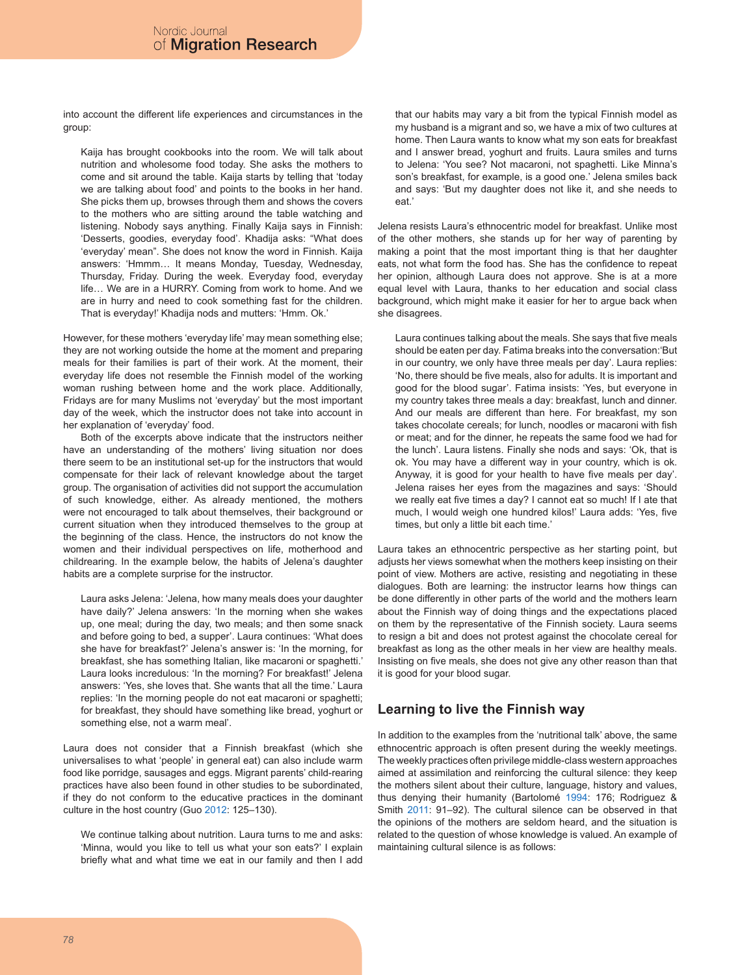into account the different life experiences and circumstances in the group:

Kaija has brought cookbooks into the room. We will talk about nutrition and wholesome food today. She asks the mothers to come and sit around the table. Kaija starts by telling that 'today we are talking about food' and points to the books in her hand. She picks them up, browses through them and shows the covers to the mothers who are sitting around the table watching and listening. Nobody says anything. Finally Kaija says in Finnish: 'Desserts, goodies, everyday food'. Khadija asks: "What does 'everyday' mean". She does not know the word in Finnish. Kaija answers: 'Hmmm… It means Monday, Tuesday, Wednesday, Thursday, Friday. During the week. Everyday food, everyday life… We are in a HURRY. Coming from work to home. And we are in hurry and need to cook something fast for the children. That is everyday!' Khadija nods and mutters: 'Hmm. Ok.'

However, for these mothers 'everyday life' may mean something else; they are not working outside the home at the moment and preparing meals for their families is part of their work. At the moment, their everyday life does not resemble the Finnish model of the working woman rushing between home and the work place. Additionally, Fridays are for many Muslims not 'everyday' but the most important day of the week, which the instructor does not take into account in her explanation of 'everyday' food.

Both of the excerpts above indicate that the instructors neither have an understanding of the mothers' living situation nor does there seem to be an institutional set-up for the instructors that would compensate for their lack of relevant knowledge about the target group. The organisation of activities did not support the accumulation of such knowledge, either. As already mentioned, the mothers were not encouraged to talk about themselves, their background or current situation when they introduced themselves to the group at the beginning of the class. Hence, the instructors do not know the women and their individual perspectives on life, motherhood and childrearing. In the example below, the habits of Jelena's daughter habits are a complete surprise for the instructor.

Laura asks Jelena: 'Jelena, how many meals does your daughter have daily?' Jelena answers: 'In the morning when she wakes up, one meal; during the day, two meals; and then some snack and before going to bed, a supper'. Laura continues: 'What does she have for breakfast?' Jelena's answer is: 'In the morning, for breakfast, she has something Italian, like macaroni or spaghetti.' Laura looks incredulous: 'In the morning? For breakfast!' Jelena answers: 'Yes, she loves that. She wants that all the time.' Laura replies: 'In the morning people do not eat macaroni or spaghetti; for breakfast, they should have something like bread, yoghurt or something else, not a warm meal'.

Laura does not consider that a Finnish breakfast (which she universalises to what 'people' in general eat) can also include warm food like porridge, sausages and eggs. Migrant parents' child-rearing practices have also been found in other studies to be subordinated, if they do not conform to the educative practices in the dominant culture in the host country (Guo 2012: 125–130).

We continue talking about nutrition. Laura turns to me and asks: 'Minna, would you like to tell us what your son eats?' I explain briefly what and what time we eat in our family and then I add that our habits may vary a bit from the typical Finnish model as my husband is a migrant and so, we have a mix of two cultures at home. Then Laura wants to know what my son eats for breakfast and I answer bread, yoghurt and fruits. Laura smiles and turns to Jelena: 'You see? Not macaroni, not spaghetti. Like Minna's son's breakfast, for example, is a good one.' Jelena smiles back and says: 'But my daughter does not like it, and she needs to eat.'

Jelena resists Laura's ethnocentric model for breakfast. Unlike most of the other mothers, she stands up for her way of parenting by making a point that the most important thing is that her daughter eats, not what form the food has. She has the confidence to repeat her opinion, although Laura does not approve. She is at a more equal level with Laura, thanks to her education and social class background, which might make it easier for her to argue back when she disagrees.

Laura continues talking about the meals. She says that five meals should be eaten per day. Fatima breaks into the conversation:'But in our country, we only have three meals per day'. Laura replies: 'No, there should be five meals, also for adults. It is important and good for the blood sugar'. Fatima insists: 'Yes, but everyone in my country takes three meals a day: breakfast, lunch and dinner. And our meals are different than here. For breakfast, my son takes chocolate cereals; for lunch, noodles or macaroni with fish or meat; and for the dinner, he repeats the same food we had for the lunch'. Laura listens. Finally she nods and says: 'Ok, that is ok. You may have a different way in your country, which is ok. Anyway, it is good for your health to have five meals per day'. Jelena raises her eyes from the magazines and says: 'Should we really eat five times a day? I cannot eat so much! If I ate that much, I would weigh one hundred kilos!' Laura adds: 'Yes, five times, but only a little bit each time.'

Laura takes an ethnocentric perspective as her starting point, but adjusts her views somewhat when the mothers keep insisting on their point of view. Mothers are active, resisting and negotiating in these dialogues. Both are learning: the instructor learns how things can be done differently in other parts of the world and the mothers learn about the Finnish way of doing things and the expectations placed on them by the representative of the Finnish society. Laura seems to resign a bit and does not protest against the chocolate cereal for breakfast as long as the other meals in her view are healthy meals. Insisting on five meals, she does not give any other reason than that it is good for your blood sugar.

# **Learning to live the Finnish way**

In addition to the examples from the 'nutritional talk' above, the same ethnocentric approach is often present during the weekly meetings. The weekly practices often privilege middle-class western approaches aimed at assimilation and reinforcing the cultural silence: they keep the mothers silent about their culture, language, history and values, thus denying their humanity (Bartolomé 1994: 176; Rodriguez & Smith 2011: 91–92). The cultural silence can be observed in that the opinions of the mothers are seldom heard, and the situation is related to the question of whose knowledge is valued. An example of maintaining cultural silence is as follows: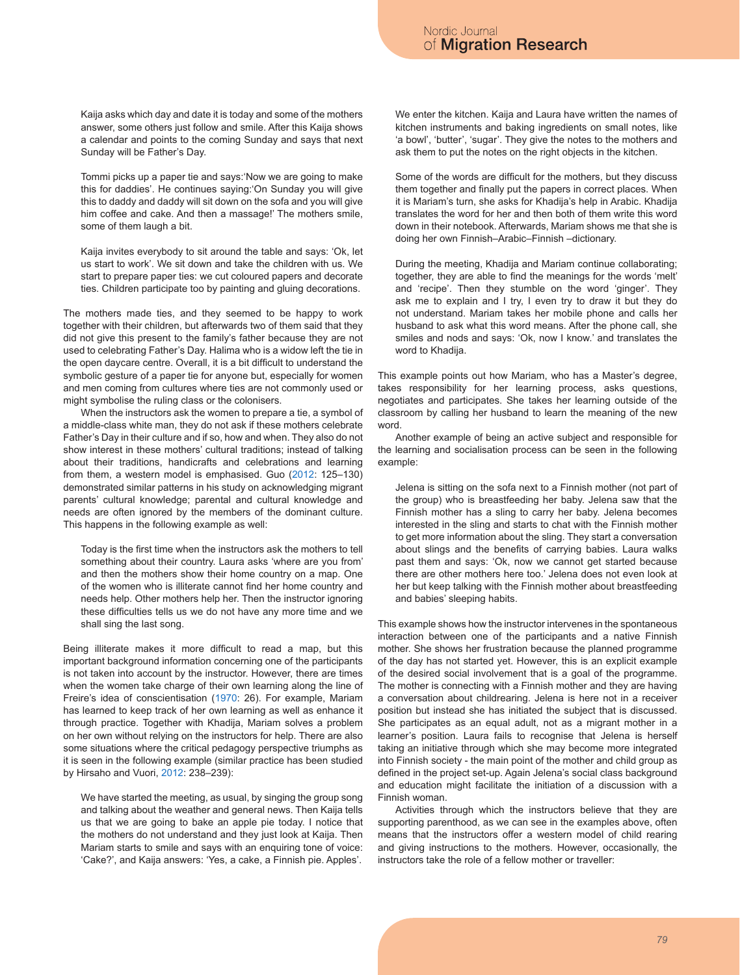Kaija asks which day and date it is today and some of the mothers answer, some others just follow and smile. After this Kaija shows a calendar and points to the coming Sunday and says that next Sunday will be Father's Day.

Tommi picks up a paper tie and says:'Now we are going to make this for daddies'. He continues saying:'On Sunday you will give this to daddy and daddy will sit down on the sofa and you will give him coffee and cake. And then a massage!' The mothers smile, some of them laugh a bit.

Kaija invites everybody to sit around the table and says: 'Ok, let us start to work'. We sit down and take the children with us. We start to prepare paper ties: we cut coloured papers and decorate ties. Children participate too by painting and gluing decorations.

The mothers made ties, and they seemed to be happy to work together with their children, but afterwards two of them said that they did not give this present to the family's father because they are not used to celebrating Father's Day. Halima who is a widow left the tie in the open daycare centre. Overall, it is a bit difficult to understand the symbolic gesture of a paper tie for anyone but, especially for women and men coming from cultures where ties are not commonly used or might symbolise the ruling class or the colonisers.

When the instructors ask the women to prepare a tie, a symbol of a middle-class white man, they do not ask if these mothers celebrate Father's Day in their culture and if so, how and when. They also do not show interest in these mothers' cultural traditions; instead of talking about their traditions, handicrafts and celebrations and learning from them, a western model is emphasised. Guo (2012: 125–130) demonstrated similar patterns in his study on acknowledging migrant parents' cultural knowledge; parental and cultural knowledge and needs are often ignored by the members of the dominant culture. This happens in the following example as well:

Today is the first time when the instructors ask the mothers to tell something about their country. Laura asks 'where are you from' and then the mothers show their home country on a map. One of the women who is illiterate cannot find her home country and needs help. Other mothers help her. Then the instructor ignoring these difficulties tells us we do not have any more time and we shall sing the last song.

Being illiterate makes it more difficult to read a map, but this important background information concerning one of the participants is not taken into account by the instructor. However, there are times when the women take charge of their own learning along the line of Freire's idea of conscientisation (1970: 26). For example, Mariam has learned to keep track of her own learning as well as enhance it through practice. Together with Khadija, Mariam solves a problem on her own without relying on the instructors for help. There are also some situations where the critical pedagogy perspective triumphs as it is seen in the following example (similar practice has been studied by Hirsaho and Vuori, 2012: 238–239):

We have started the meeting, as usual, by singing the group song and talking about the weather and general news. Then Kaija tells us that we are going to bake an apple pie today. I notice that the mothers do not understand and they just look at Kaija. Then Mariam starts to smile and says with an enquiring tone of voice: 'Cake?', and Kaija answers: 'Yes, a cake, a Finnish pie. Apples'.

We enter the kitchen. Kaija and Laura have written the names of kitchen instruments and baking ingredients on small notes, like 'a bowl', 'butter', 'sugar'. They give the notes to the mothers and ask them to put the notes on the right objects in the kitchen.

Some of the words are difficult for the mothers, but they discuss them together and finally put the papers in correct places. When it is Mariam's turn, she asks for Khadija's help in Arabic. Khadija translates the word for her and then both of them write this word down in their notebook. Afterwards, Mariam shows me that she is doing her own Finnish–Arabic–Finnish –dictionary.

During the meeting, Khadija and Mariam continue collaborating; together, they are able to find the meanings for the words 'melt' and 'recipe'. Then they stumble on the word 'ginger'. They ask me to explain and I try, I even try to draw it but they do not understand. Mariam takes her mobile phone and calls her husband to ask what this word means. After the phone call, she smiles and nods and says: 'Ok, now I know.' and translates the word to Khadija.

This example points out how Mariam, who has a Master's degree, takes responsibility for her learning process, asks questions, negotiates and participates. She takes her learning outside of the classroom by calling her husband to learn the meaning of the new word.

Another example of being an active subject and responsible for the learning and socialisation process can be seen in the following example:

Jelena is sitting on the sofa next to a Finnish mother (not part of the group) who is breastfeeding her baby. Jelena saw that the Finnish mother has a sling to carry her baby. Jelena becomes interested in the sling and starts to chat with the Finnish mother to get more information about the sling. They start a conversation about slings and the benefits of carrying babies. Laura walks past them and says: 'Ok, now we cannot get started because there are other mothers here too.' Jelena does not even look at her but keep talking with the Finnish mother about breastfeeding and babies' sleeping habits.

This example shows how the instructor intervenes in the spontaneous interaction between one of the participants and a native Finnish mother. She shows her frustration because the planned programme of the day has not started yet. However, this is an explicit example of the desired social involvement that is a goal of the programme. The mother is connecting with a Finnish mother and they are having a conversation about childrearing. Jelena is here not in a receiver position but instead she has initiated the subject that is discussed. She participates as an equal adult, not as a migrant mother in a learner's position. Laura fails to recognise that Jelena is herself taking an initiative through which she may become more integrated into Finnish society - the main point of the mother and child group as defined in the project set-up. Again Jelena's social class background and education might facilitate the initiation of a discussion with a Finnish woman.

Activities through which the instructors believe that they are supporting parenthood, as we can see in the examples above, often means that the instructors offer a western model of child rearing and giving instructions to the mothers. However, occasionally, the instructors take the role of a fellow mother or traveller: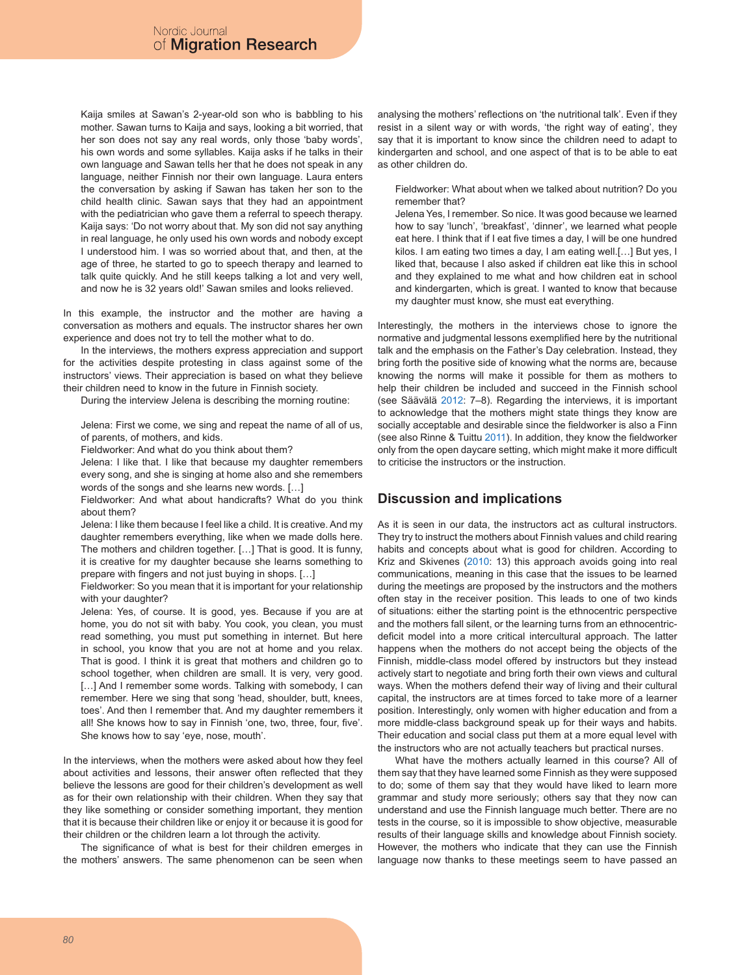Kaija smiles at Sawan's 2-year-old son who is babbling to his mother. Sawan turns to Kaija and says, looking a bit worried, that her son does not say any real words, only those 'baby words', his own words and some syllables. Kaija asks if he talks in their own language and Sawan tells her that he does not speak in any language, neither Finnish nor their own language. Laura enters the conversation by asking if Sawan has taken her son to the child health clinic. Sawan says that they had an appointment with the pediatrician who gave them a referral to speech therapy. Kaija says: 'Do not worry about that. My son did not say anything in real language, he only used his own words and nobody except I understood him. I was so worried about that, and then, at the age of three, he started to go to speech therapy and learned to talk quite quickly. And he still keeps talking a lot and very well, and now he is 32 years old!' Sawan smiles and looks relieved.

In this example, the instructor and the mother are having a conversation as mothers and equals. The instructor shares her own experience and does not try to tell the mother what to do.

In the interviews, the mothers express appreciation and support for the activities despite protesting in class against some of the instructors' views. Their appreciation is based on what they believe their children need to know in the future in Finnish society.

During the interview Jelena is describing the morning routine:

Jelena: First we come, we sing and repeat the name of all of us, of parents, of mothers, and kids.

Fieldworker: And what do you think about them?

Jelena: I like that. I like that because my daughter remembers every song, and she is singing at home also and she remembers words of the songs and she learns new words. […]

Fieldworker: And what about handicrafts? What do you think about them?

Jelena: I like them because I feel like a child. It is creative. And my daughter remembers everything, like when we made dolls here. The mothers and children together. […] That is good. It is funny, it is creative for my daughter because she learns something to prepare with fingers and not just buying in shops. […]

Fieldworker: So you mean that it is important for your relationship with your daughter?

Jelena: Yes, of course. It is good, yes. Because if you are at home, you do not sit with baby. You cook, you clean, you must read something, you must put something in internet. But here in school, you know that you are not at home and you relax. That is good. I think it is great that mothers and children go to school together, when children are small. It is very, very good. [...] And I remember some words. Talking with somebody, I can remember. Here we sing that song 'head, shoulder, butt, knees, toes'. And then I remember that. And my daughter remembers it all! She knows how to say in Finnish 'one, two, three, four, five'. She knows how to say 'eye, nose, mouth'.

In the interviews, when the mothers were asked about how they feel about activities and lessons, their answer often reflected that they believe the lessons are good for their children's development as well as for their own relationship with their children. When they say that they like something or consider something important, they mention that it is because their children like or enjoy it or because it is good for their children or the children learn a lot through the activity.

The significance of what is best for their children emerges in the mothers' answers. The same phenomenon can be seen when analysing the mothers' reflections on 'the nutritional talk'. Even if they resist in a silent way or with words, 'the right way of eating', they say that it is important to know since the children need to adapt to kindergarten and school, and one aspect of that is to be able to eat as other children do.

Fieldworker: What about when we talked about nutrition? Do you remember that?

Jelena Yes, I remember. So nice. It was good because we learned how to say 'lunch', 'breakfast', 'dinner', we learned what people eat here. I think that if I eat five times a day, I will be one hundred kilos. I am eating two times a day, I am eating well.[…] But yes, I liked that, because I also asked if children eat like this in school and they explained to me what and how children eat in school and kindergarten, which is great. I wanted to know that because my daughter must know, she must eat everything.

Interestingly, the mothers in the interviews chose to ignore the normative and judgmental lessons exemplified here by the nutritional talk and the emphasis on the Father's Day celebration. Instead, they bring forth the positive side of knowing what the norms are, because knowing the norms will make it possible for them as mothers to help their children be included and succeed in the Finnish school (see Säävälä 2012: 7–8). Regarding the interviews, it is important to acknowledge that the mothers might state things they know are socially acceptable and desirable since the fieldworker is also a Finn (see also Rinne & Tuittu 2011). In addition, they know the fieldworker only from the open daycare setting, which might make it more difficult to criticise the instructors or the instruction.

# **Discussion and implications**

As it is seen in our data, the instructors act as cultural instructors. They try to instruct the mothers about Finnish values and child rearing habits and concepts about what is good for children. According to Kriz and Skivenes (2010: 13) this approach avoids going into real communications, meaning in this case that the issues to be learned during the meetings are proposed by the instructors and the mothers often stay in the receiver position. This leads to one of two kinds of situations: either the starting point is the ethnocentric perspective and the mothers fall silent, or the learning turns from an ethnocentricdeficit model into a more critical intercultural approach. The latter happens when the mothers do not accept being the objects of the Finnish, middle-class model offered by instructors but they instead actively start to negotiate and bring forth their own views and cultural ways. When the mothers defend their way of living and their cultural capital, the instructors are at times forced to take more of a learner position. Interestingly, only women with higher education and from a more middle-class background speak up for their ways and habits. Their education and social class put them at a more equal level with the instructors who are not actually teachers but practical nurses.

What have the mothers actually learned in this course? All of them say that they have learned some Finnish as they were supposed to do; some of them say that they would have liked to learn more grammar and study more seriously; others say that they now can understand and use the Finnish language much better. There are no tests in the course, so it is impossible to show objective, measurable results of their language skills and knowledge about Finnish society. However, the mothers who indicate that they can use the Finnish language now thanks to these meetings seem to have passed an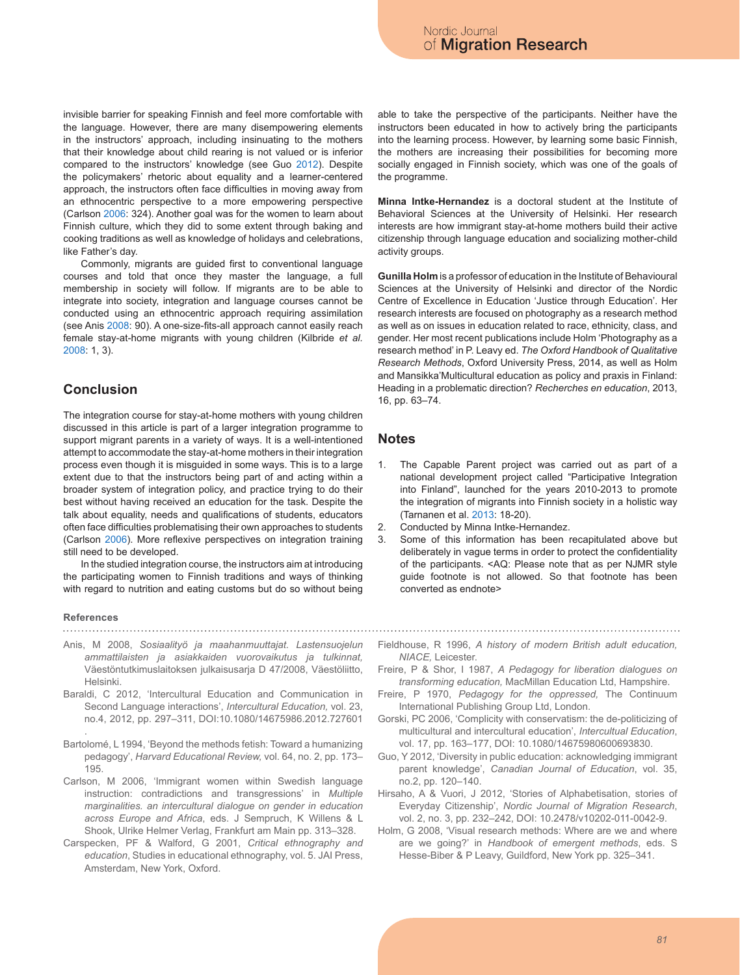invisible barrier for speaking Finnish and feel more comfortable with the language. However, there are many disempowering elements in the instructors' approach, including insinuating to the mothers that their knowledge about child rearing is not valued or is inferior compared to the instructors' knowledge (see Guo 2012). Despite the policymakers' rhetoric about equality and a learner-centered approach, the instructors often face difficulties in moving away from an ethnocentric perspective to a more empowering perspective (Carlson 2006: 324). Another goal was for the women to learn about Finnish culture, which they did to some extent through baking and cooking traditions as well as knowledge of holidays and celebrations, like Father's day.

Commonly, migrants are guided first to conventional language courses and told that once they master the language, a full membership in society will follow. If migrants are to be able to integrate into society, integration and language courses cannot be conducted using an ethnocentric approach requiring assimilation (see Anis 2008: 90). A one-size-fits-all approach cannot easily reach female stay-at-home migrants with young children (Kilbride *et al.* 2008: 1, 3).

## **Conclusion**

The integration course for stay-at-home mothers with young children discussed in this article is part of a larger integration programme to support migrant parents in a variety of ways. It is a well-intentioned attempt to accommodate the stay-at-home mothers in their integration process even though it is misguided in some ways. This is to a large extent due to that the instructors being part of and acting within a broader system of integration policy, and practice trying to do their best without having received an education for the task. Despite the talk about equality, needs and qualifications of students, educators often face difficulties problematising their own approaches to students (Carlson 2006). More reflexive perspectives on integration training still need to be developed.

In the studied integration course, the instructors aim at introducing the participating women to Finnish traditions and ways of thinking with regard to nutrition and eating customs but do so without being

#### **References**

- Anis, M 2008, *Sosiaalityö ja maahanmuuttajat. Lastensuojelun ammattilaisten ja asiakkaiden vuorovaikutus ja tulkinnat,*  Väestöntutkimuslaitoksen julkaisusarja D 47/2008, Väestöliitto, **Helsinki**
- Baraldi, C 2012, 'Intercultural Education and Communication in Second Language interactions', *Intercultural Education,* vol. 23, no.4, 2012, pp. 297–311, DOI:10.1080/14675986.2012.727601 .
- Bartolomé, L 1994, 'Beyond the methods fetish: Toward a humanizing pedagogy', *Harvard Educational Review,* vol. 64, no. 2, pp. 173– 195.
- Carlson, M 2006, 'Immigrant women within Swedish language instruction: contradictions and transgressions' in *Multiple marginalities. an intercultural dialogue on gender in education across Europe and Africa*, eds. J Sempruch, K Willens & L Shook, Ulrike Helmer Verlag, Frankfurt am Main pp. 313–328.
- Carspecken, PF & Walford, G 2001, *Critical ethnography and education*, Studies in educational ethnography, vol. 5. JAI Press, Amsterdam, New York, Oxford.

able to take the perspective of the participants. Neither have the instructors been educated in how to actively bring the participants into the learning process. However, by learning some basic Finnish, the mothers are increasing their possibilities for becoming more socially engaged in Finnish society, which was one of the goals of the programme.

of Migration Research

Nordic Journal

**Minna Intke-Hernandez** is a doctoral student at the Institute of Behavioral Sciences at the University of Helsinki. Her research interests are how immigrant stay-at-home mothers build their active citizenship through language education and socializing mother-child activity groups.

**Gunilla Holm** is a professor of education in the Institute of Behavioural Sciences at the University of Helsinki and director of the Nordic Centre of Excellence in Education 'Justice through Education'. Her research interests are focused on photography as a research method as well as on issues in education related to race, ethnicity, class, and gender. Her most recent publications include Holm 'Photography as a research method' in P. Leavy ed. *The Oxford Handbook of Qualitative Research Methods*, Oxford University Press, 2014, as well as Holm and Mansikka'Multicultural education as policy and praxis in Finland: Heading in a problematic direction? *Recherches en education*, 2013, 16, pp. 63–74.

### **Notes**

- 1. The Capable Parent project was carried out as part of a national development project called "Participative Integration into Finland", launched for the years 2010-2013 to promote the integration of migrants into Finnish society in a holistic way (Tarnanen et al. 2013: 18-20).
- 2. Conducted by Minna Intke-Hernandez.
- 3. Some of this information has been recapitulated above but deliberately in vague terms in order to protect the confidentiality of the participants. <AQ: Please note that as per NJMR style guide footnote is not allowed. So that footnote has been converted as endnote>
- Fieldhouse, R 1996, *A history of modern British adult education, NIACE,* Leicester.
- Freire, P & Shor, I 1987, *A Pedagogy for liberation dialogues on transforming education,* MacMillan Education Ltd, Hampshire.
- Freire, P 1970, *Pedagogy for the oppressed,* The Continuum International Publishing Group Ltd, London.
- Gorski, PC 2006, 'Complicity with conservatism: the de-politicizing of multicultural and intercultural education', *Intercultual Education*, vol. 17, pp. 163–177, DOI: 10.1080/14675980600693830.
- Guo, Y 2012, 'Diversity in public education: acknowledging immigrant parent knowledge', *Canadian Journal of Education*, vol. 35, no.2, pp. 120–140.
- Hirsaho, A & Vuori, J 2012, 'Stories of Alphabetisation, stories of Everyday Citizenship', *Nordic Journal of Migration Research*, vol. 2, no. 3, pp. 232–242, DOI: 10.2478/v10202-011-0042-9.
- Holm, G 2008, 'Visual research methods: Where are we and where are we going?' in *Handbook of emergent methods*, eds. S Hesse-Biber & P Leavy, Guildford, New York pp. 325–341.